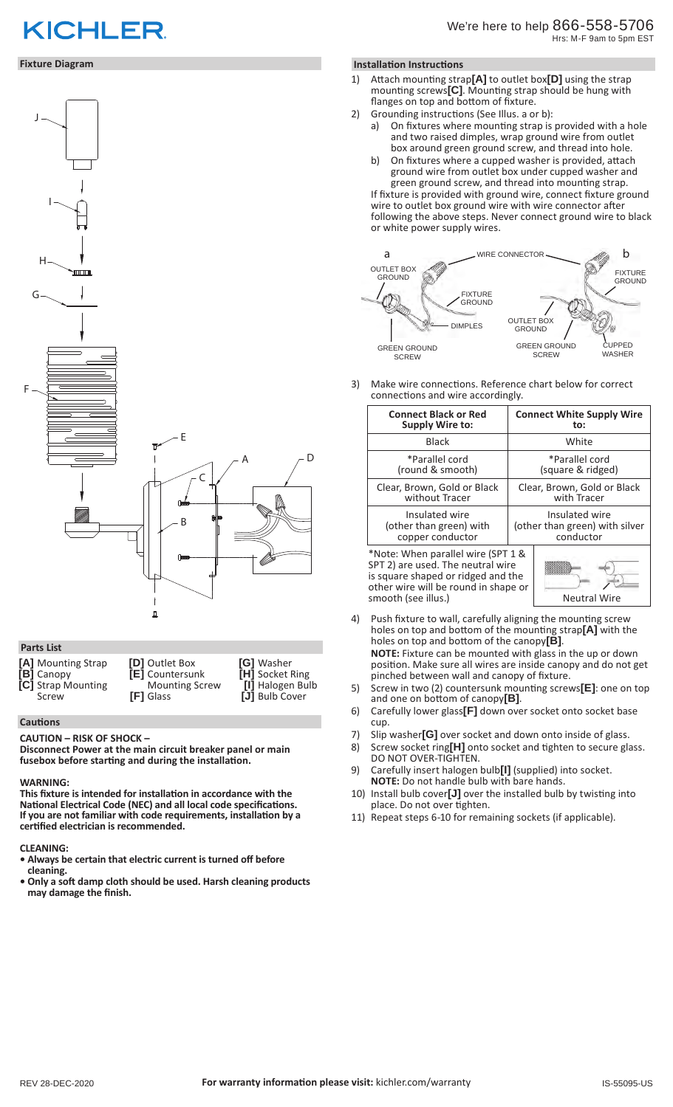# **KICHLER**

## **Fixture Diagram**



# **Parts List**

| [A] Mounting Strap | <b>[D]</b> Outlet Box  | <b>G</b> ] Washer      |
|--------------------|------------------------|------------------------|
| <b>B</b> ] Canopy  | <b>[E]</b> Countersunk | <b>[H]</b> Socket Ring |
| [C] Strap Mounting | <b>Mounting Screw</b>  | [I] Halogen Bulb       |
| Screw              | <b>[F]</b> Glass       | [J] Bulb Cover         |

## **Cautions**

#### **CAUTION – RISK OF SHOCK –**

**Disconnect Power at the main circuit breaker panel or main fusebox before starting and during the installation.** 

#### **WARNING:**

**This fixture is intended for installation in accordance with the National Electrical Code (NEC) and all local code specifications. If you are not familiar with code requirements, installation by a certified electrician is recommended.**

## **CLEANING:**

- **Always be certain that electric current is turned off before cleaning.**
- **Only a soft damp cloth should be used. Harsh cleaning products may damage the finish.**

## **Installation Instructions**

- 1) Attach mounting strap**[A]** to outlet box**[D]** using the strap mounting screws**[C]**. Mounting strap should be hung with flanges on top and bottom of fixture.
- 2) Grounding instructions (See Illus. a or b):
	- a) On fixtures where mounting strap is provided with a hole and two raised dimples, wrap ground wire from outlet box around green ground screw, and thread into hole.
	- b) On fixtures where a cupped washer is provided, attach ground wire from outlet box under cupped washer and green ground screw, and thread into mounting strap.

If fixture is provided with ground wire, connect fixture ground wire to outlet box ground wire with wire connector after following the above steps. Never connect ground wire to black or white power supply wires.



3) Make wire connections. Reference chart below for correct connections and wire accordingly.

| <b>Connect White Supply Wire</b><br>to:                       |
|---------------------------------------------------------------|
| White                                                         |
| *Parallel cord<br>(square & ridged)                           |
| Clear, Brown, Gold or Black<br>with Tracer                    |
| Insulated wire<br>(other than green) with silver<br>conductor |
|                                                               |

\*Note: When parallel wire (SPT 1 & SPT 2) are used. The neutral wire is square shaped or ridged and the other wire will be round in shape or smooth (see illus.) Neutral Wire

- 4) Push fixture to wall, carefully aligning the mounting screw holes on top and bottom of the mounting strap**[A]** with the holes on top and bottom of the canopy**[B]**. **NOTE:** Fixture can be mounted with glass in the up or down position. Make sure all wires are inside canopy and do not get pinched between wall and canopy of fixture.
- 5) Screw in two (2) countersunk mounting screws**[E]**: one on top and one on bottom of canopy**[B]**.
- 6) Carefully lower glass**[F]** down over socket onto socket base cup.
- 7) Slip washer**[G]** over socket and down onto inside of glass.
- 8) Screw socket ring**[H]** onto socket and tighten to secure glass. DO NOT OVER-TIGHTEN.
- 9) Carefully insert halogen bulb**[I]** (supplied) into socket. **NOTE:** Do not handle bulb with bare hands.
- 10) Install bulb cover**[J]** over the installed bulb by twisting into place. Do not over tighten.
- 11) Repeat steps 6-10 for remaining sockets (if applicable).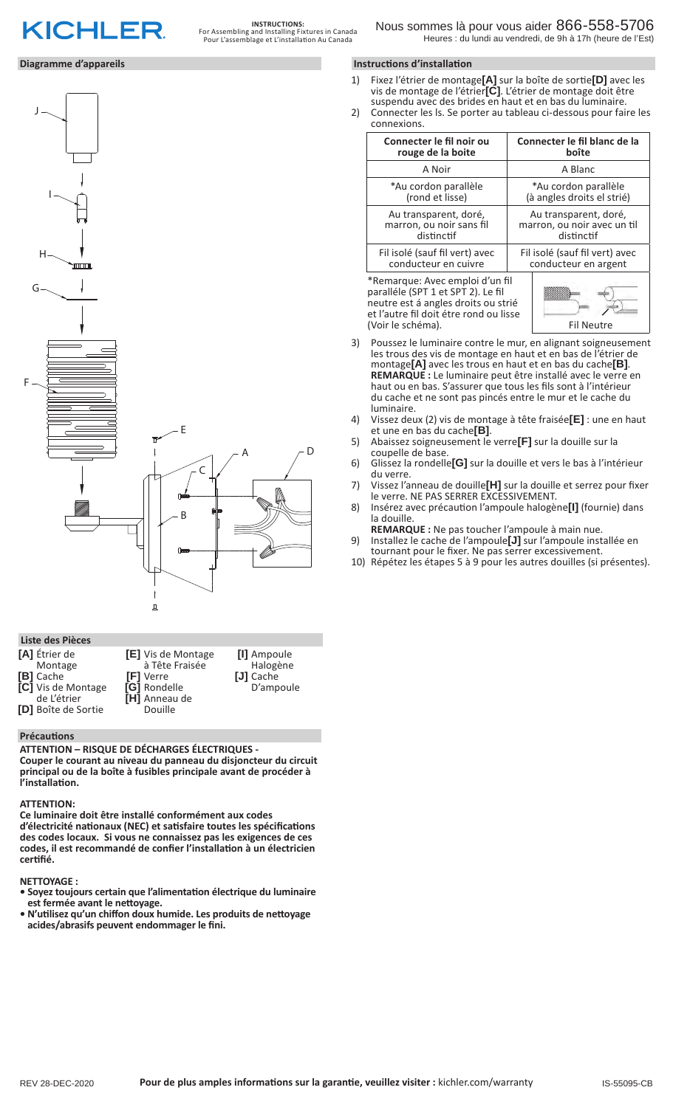

# **Diagramme d'appareils**



# **Liste des Pièces**

| [A] Étrier de<br><b>[E]</b> Vis de Montage<br>à Tête Fraisée<br>Montage<br><b>B</b> ] Cache<br><b>FI</b> Verre<br>[C] Vis de Montage<br>[G] Rondelle<br>[H] Anneau de<br>de L'étrier<br>[D] Boîte de Sortie<br>Douille | [I] Ampoule<br>Halogène<br>[J] Cache<br>D'ampoule |
|------------------------------------------------------------------------------------------------------------------------------------------------------------------------------------------------------------------------|---------------------------------------------------|
|------------------------------------------------------------------------------------------------------------------------------------------------------------------------------------------------------------------------|---------------------------------------------------|

## **Précautions**

**ATTENTION – RISQUE DE DÉCHARGES ÉLECTRIQUES - Couper le courant au niveau du panneau du disjoncteur du circuit principal ou de la boîte à fusibles principale avant de procéder à l'installation.**

## **ATTENTION:**

**Ce luminaire doit être installé conformément aux codes d'électricité nationaux (NEC) et satisfaire toutes les spécifications des codes locaux. Si vous ne connaissez pas les exigences de ces codes, il est recommandé de confier l'installation à un électricien certifié.**

# **NETTOYAGE :**

- **Soyez toujours certain que l'alimentation électrique du luminaire est fermée avant le nettoyage.**
- **N'utilisez qu'un chiffon doux humide. Les produits de nettoyage acides/abrasifs peuvent endommager le fini.**

# **Instructions d'installation**

- 1) Fixez l'étrier de montage**[A]** sur la boîte de sortie**[D]** avec les vis de montage de l'étrier**[C]**. L'étrier de montage doit être suspendu avec des brides en haut et en bas du luminaire.
- 2) Connecter les ls. Se porter au tableau ci-dessous pour faire les connexions.

| Connecter le fil noir ou                                                                                                                                                    | Connecter le fil blanc de la   |  |
|-----------------------------------------------------------------------------------------------------------------------------------------------------------------------------|--------------------------------|--|
| rouge de la boite                                                                                                                                                           | boîte                          |  |
| A Noir                                                                                                                                                                      | A Blanc                        |  |
| *Au cordon parallèle                                                                                                                                                        | *Au cordon parallèle           |  |
| (rond et lisse)                                                                                                                                                             | (à angles droits el strié)     |  |
| Au transparent, doré,                                                                                                                                                       | Au transparent, doré,          |  |
| marron, ou noir sans fil                                                                                                                                                    | marron, ou noir avec un til    |  |
| distinctif                                                                                                                                                                  | distinctif                     |  |
| Fil isolé (sauf fil vert) avec                                                                                                                                              | Fil isolé (sauf fil vert) avec |  |
| conducteur en cuivre                                                                                                                                                        | conducteur en argent           |  |
| *Remarque: Avec emploi d'un fil<br>paralléle (SPT 1 et SPT 2). Le fil<br>neutre est á angles droits ou strié<br>et l'autre fil doit étre rond ou lisse<br>(Voir le schéma). | <b>Fil Neutre</b>              |  |

- 3) Poussez le luminaire contre le mur, en alignant soigneusement les trous des vis de montage en haut et en bas de l'étrier de montage**[A]** avec les trous en haut et en bas du cache**[B]**. **REMARQUE :** Le luminaire peut être installé avec le verre en haut ou en bas. S'assurer que tous les fils sont à l'intérieur du cache et ne sont pas pincés entre le mur et le cache du luminaire.
- 4) Vissez deux (2) vis de montage à tête fraisée**[E]** : une en haut
- 5) Abaissez soigneusement le verre<sup>[F]</sup> sur la douille sur la coupelle de base
- 6) Glissez la rondelle**[G]** sur la douille et vers le bas à l'intérieur du verre.
- 7) Vissez l'anneau de douille**[H]** sur la douille et serrez pour fixer le verre. NE PAS SERRER EXCESSIVEMENT.
- 8) Insérez avec précaution l'ampoule halogène**[I]** (fournie) dans la douille.
- **REMARQUE :** Ne pas toucher l'ampoule à main nue. 9) Installez le cache de l'ampoule**[J]** sur l'ampoule installée en
- tournant pour le fixer. Ne pas serrer excessivement. 10) Répétez les étapes 5 à 9 pour les autres douilles (si présentes).